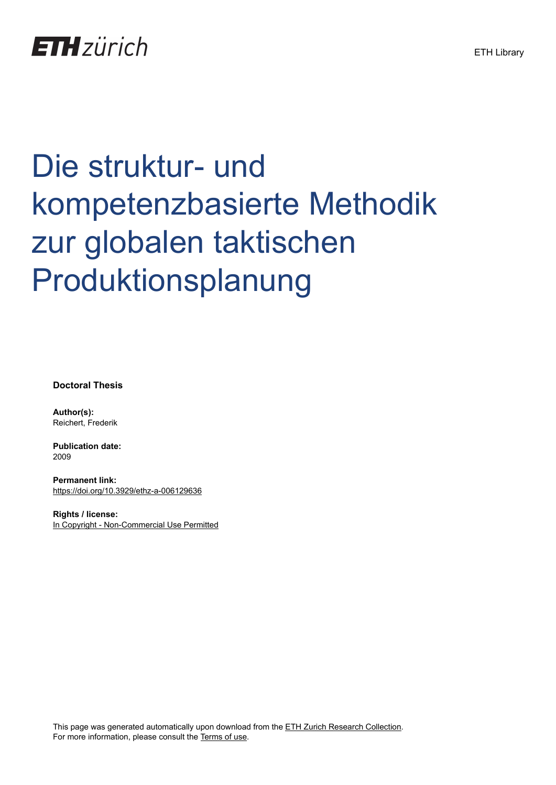

# Die struktur- und kompetenzbasierte Methodik zur globalen taktischen Produktionsplanung

**Doctoral Thesis**

**Author(s):** Reichert, Frederik

**Publication date:** 2009

**Permanent link:** <https://doi.org/10.3929/ethz-a-006129636>

**Rights / license:** [In Copyright - Non-Commercial Use Permitted](http://rightsstatements.org/page/InC-NC/1.0/)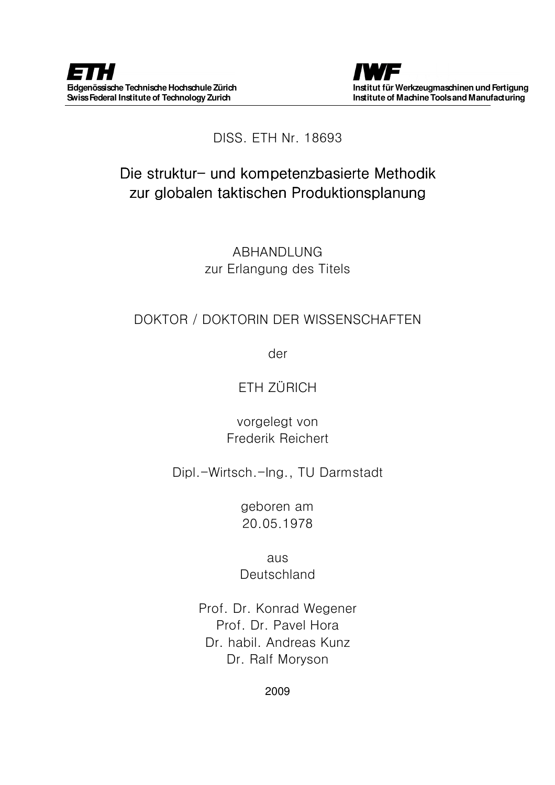

#### DISS. ETH Nr. 18693

## Die struktur- und kompetenzbasierte Methodik zur globalen taktischen Produktionsplanung

ABHANDLUNG zur Erlangung des Titels

#### DOKTOR / DOKTORIN DER WISSENSCHAFTEN

der

### ETH ZÜRICH

vorgelegt von Frederik Reichert

Dipl.-Wirtsch.-Ing., TU Darmstadt

geboren am 20.05.1978

aus **Deutschland** 

Prof. Dr. Konrad Wegener Prof. Dr. Pavel Hora Dr. habil. Andreas Kunz Dr. Ralf Moryson

2009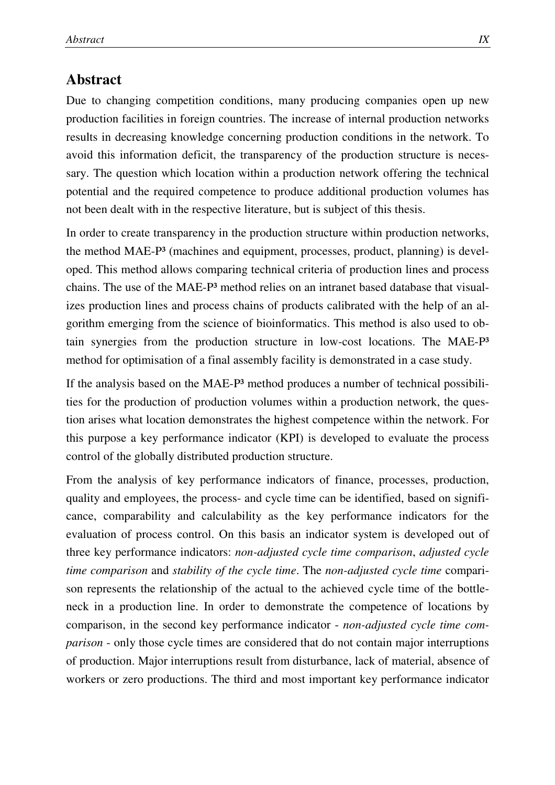#### **Abstract**

Due to changing competition conditions, many producing companies open up new production facilities in foreign countries. The increase of internal production networks results in decreasing knowledge concerning production conditions in the network. To avoid this information deficit, the transparency of the production structure is necessary. The question which location within a production network offering the technical potential and the required competence to produce additional production volumes has not been dealt with in the respective literature, but is subject of this thesis.

In order to create transparency in the production structure within production networks, the method MAE-P³ (machines and equipment, processes, product, planning) is developed. This method allows comparing technical criteria of production lines and process chains. The use of the MAE-P³ method relies on an intranet based database that visualizes production lines and process chains of products calibrated with the help of an algorithm emerging from the science of bioinformatics. This method is also used to obtain synergies from the production structure in low-cost locations. The MAE-P³ method for optimisation of a final assembly facility is demonstrated in a case study.

If the analysis based on the MAE-P<sup>3</sup> method produces a number of technical possibilities for the production of production volumes within a production network, the question arises what location demonstrates the highest competence within the network. For this purpose a key performance indicator (KPI) is developed to evaluate the process control of the globally distributed production structure.

From the analysis of key performance indicators of finance, processes, production, quality and employees, the process- and cycle time can be identified, based on significance, comparability and calculability as the key performance indicators for the evaluation of process control. On this basis an indicator system is developed out of three key performance indicators: *non-adjusted cycle time comparison*, *adjusted cycle time comparison* and *stability of the cycle time*. The *non-adjusted cycle time* comparison represents the relationship of the actual to the achieved cycle time of the bottleneck in a production line. In order to demonstrate the competence of locations by comparison, in the second key performance indicator - *non-adjusted cycle time comparison* - only those cycle times are considered that do not contain major interruptions of production. Major interruptions result from disturbance, lack of material, absence of workers or zero productions. The third and most important key performance indicator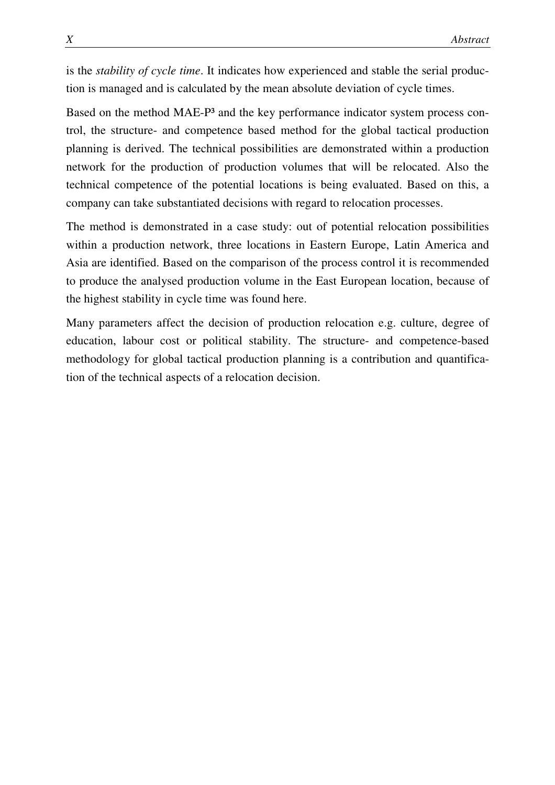is the *stability of cycle time*. It indicates how experienced and stable the serial production is managed and is calculated by the mean absolute deviation of cycle times.

Based on the method MAE-P<sup>3</sup> and the key performance indicator system process control, the structure- and competence based method for the global tactical production planning is derived. The technical possibilities are demonstrated within a production network for the production of production volumes that will be relocated. Also the technical competence of the potential locations is being evaluated. Based on this, a company can take substantiated decisions with regard to relocation processes.

The method is demonstrated in a case study: out of potential relocation possibilities within a production network, three locations in Eastern Europe, Latin America and Asia are identified. Based on the comparison of the process control it is recommended to produce the analysed production volume in the East European location, because of the highest stability in cycle time was found here.

Many parameters affect the decision of production relocation e.g. culture, degree of education, labour cost or political stability. The structure- and competence-based methodology for global tactical production planning is a contribution and quantification of the technical aspects of a relocation decision.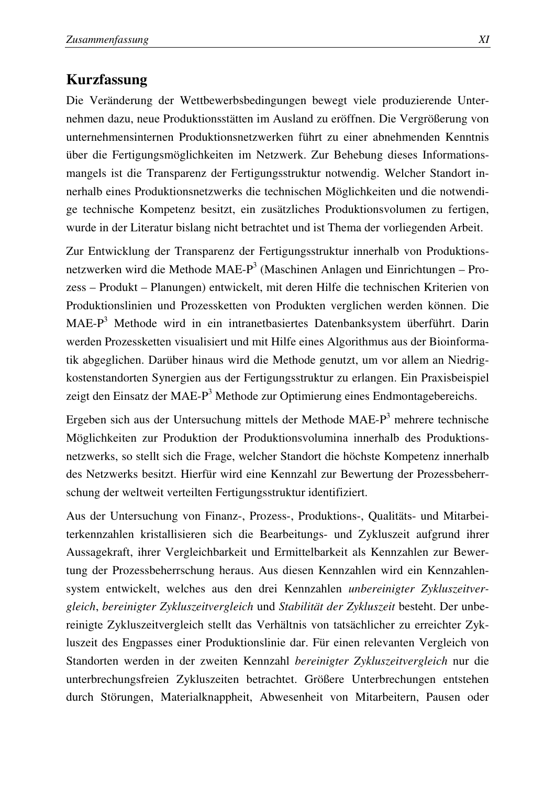#### **Kurzfassung**

Die Veränderung der Wettbewerbsbedingungen bewegt viele produzierende Unternehmen dazu, neue Produktionsstätten im Ausland zu eröffnen. Die Vergrößerung von unternehmensinternen Produktionsnetzwerken führt zu einer abnehmenden Kenntnis über die Fertigungsmöglichkeiten im Netzwerk. Zur Behebung dieses Informationsmangels ist die Transparenz der Fertigungsstruktur notwendig. Welcher Standort innerhalb eines Produktionsnetzwerks die technischen Möglichkeiten und die notwendige technische Kompetenz besitzt, ein zusätzliches Produktionsvolumen zu fertigen, wurde in der Literatur bislang nicht betrachtet und ist Thema der vorliegenden Arbeit.

Zur Entwicklung der Transparenz der Fertigungsstruktur innerhalb von Produktionsnetzwerken wird die Methode MAE-P<sup>3</sup> (Maschinen Anlagen und Einrichtungen – Prozess – Produkt – Planungen) entwickelt, mit deren Hilfe die technischen Kriterien von Produktionslinien und Prozessketten von Produkten verglichen werden können. Die MAE-P<sup>3</sup> Methode wird in ein intranetbasiertes Datenbanksystem überführt. Darin werden Prozessketten visualisiert und mit Hilfe eines Algorithmus aus der Bioinformatik abgeglichen. Darüber hinaus wird die Methode genutzt, um vor allem an Niedrigkostenstandorten Synergien aus der Fertigungsstruktur zu erlangen. Ein Praxisbeispiel zeigt den Einsatz der MAE-P<sup>3</sup> Methode zur Optimierung eines Endmontagebereichs.

Ergeben sich aus der Untersuchung mittels der Methode MAE- $P<sup>3</sup>$  mehrere technische Möglichkeiten zur Produktion der Produktionsvolumina innerhalb des Produktionsnetzwerks, so stellt sich die Frage, welcher Standort die höchste Kompetenz innerhalb des Netzwerks besitzt. Hierfür wird eine Kennzahl zur Bewertung der Prozessbeherrschung der weltweit verteilten Fertigungsstruktur identifiziert.

Aus der Untersuchung von Finanz-, Prozess-, Produktions-, Qualitäts- und Mitarbeiterkennzahlen kristallisieren sich die Bearbeitungs- und Zykluszeit aufgrund ihrer Aussagekraft, ihrer Vergleichbarkeit und Ermittelbarkeit als Kennzahlen zur Bewertung der Prozessbeherrschung heraus. Aus diesen Kennzahlen wird ein Kennzahlensystem entwickelt, welches aus den drei Kennzahlen *unbereinigter Zykluszeitvergleich*, *bereinigter Zykluszeitvergleich* und *Stabilität der Zykluszeit* besteht. Der unbereinigte Zykluszeitvergleich stellt das Verhältnis von tatsächlicher zu erreichter Zykluszeit des Engpasses einer Produktionslinie dar. Für einen relevanten Vergleich von Standorten werden in der zweiten Kennzahl *bereinigter Zykluszeitvergleich* nur die unterbrechungsfreien Zykluszeiten betrachtet. Größere Unterbrechungen entstehen durch Störungen, Materialknappheit, Abwesenheit von Mitarbeitern, Pausen oder